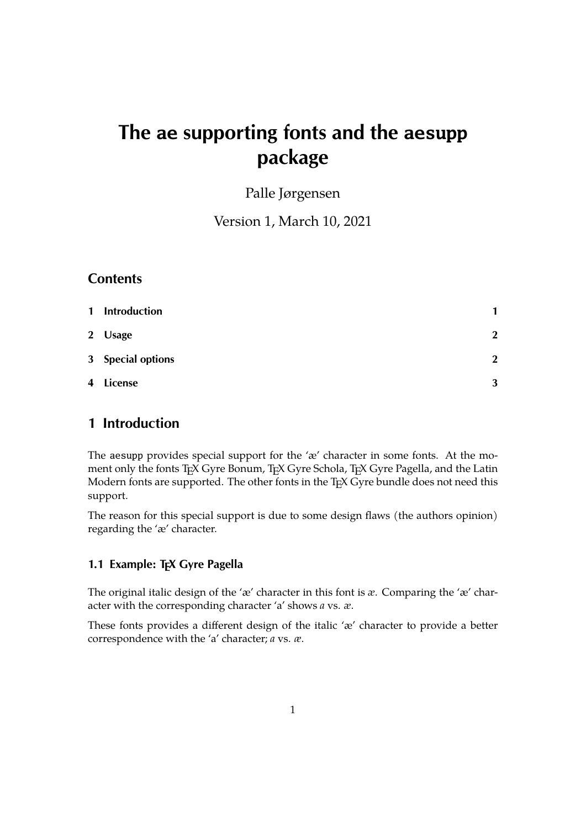# **The ae supporting fonts and the aesupp package**

Palle Jørgensen

Version 1, March 10, 2021

#### **Contents**

| $\mathbf{1}$ | <b>Introduction</b> | 1            |
|--------------|---------------------|--------------|
|              | 2 Usage             | $\mathbf{2}$ |
|              | 3 Special options   | $\mathbf{2}$ |
|              | 4 License           | 3            |

# <span id="page-0-0"></span>**1 Introduction**

The aesupp provides special support for the 'æ' character in some fonts. At the moment only the fonts TEX Gyre Bonum, TEX Gyre Schola, TEX Gyre Pagella, and the Latin Modern fonts are supported. The other fonts in the TEX Gyre bundle does not need this support.

The reason for this special support is due to some design flaws (the authors opinion) regarding the 'æ' character.

## **1.1 Example: T<sub>F</sub>X Gyre Pagella**

The original italic design of the 'æ' character in this font is *æ*. Comparing the 'æ' character with the corresponding character 'a' shows *a* vs. *æ*.

These fonts provides a different design of the italic 'æ' character to provide a better correspondence with the 'a' character; *a* vs. *æ*.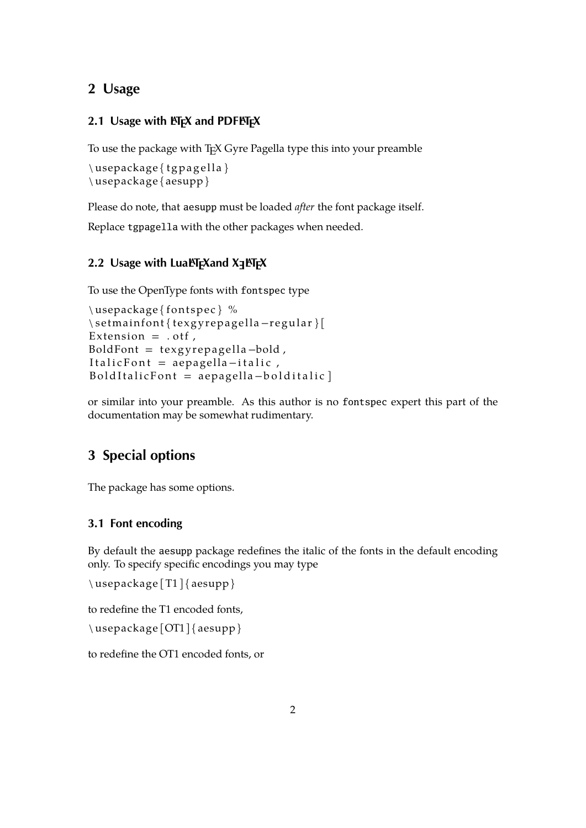# <span id="page-1-0"></span>**2 Usage**

#### **2.1 Usage with**  $\text{A}\text{T}_{\text{F}}\text{X}$  **and PDFAT<sub>F</sub>X**

To use the package with T<sub>E</sub>X Gyre Pagella type this into your preamble

```
\usepackage { t g p a g ell a }
\ usepackage { aesupp }
```
Please do note, that aesupp must be loaded *after* the font package itself.

Replace tgpagella with the other packages when needed.

# **2.2 Usage with LuaLATEXand X <sup>E</sup> LATEX**

To use the OpenType fonts with fontspec type

```
\{ \text{unsepackage} \ %
\setmainfont{texgyrepagella-regular}[
Extension = . otf,
BoldFont = texyrepa gella -bold,Italic Font = aepagella-italic,
BoldItalian = aepagella-boldItalian
```
or similar into your preamble. As this author is no fontspec expert this part of the documentation may be somewhat rudimentary.

# <span id="page-1-1"></span>**3 Special options**

The package has some options.

#### **3.1 Font encoding**

By default the aesupp package redefines the italic of the fonts in the default encoding only. To specify specific encodings you may type

```
\ usepackage [T1 ] { aesupp }
```
to redefine the T1 encoded fonts,

\ usepackage [OT1] { aesupp }

to redefine the OT1 encoded fonts, or